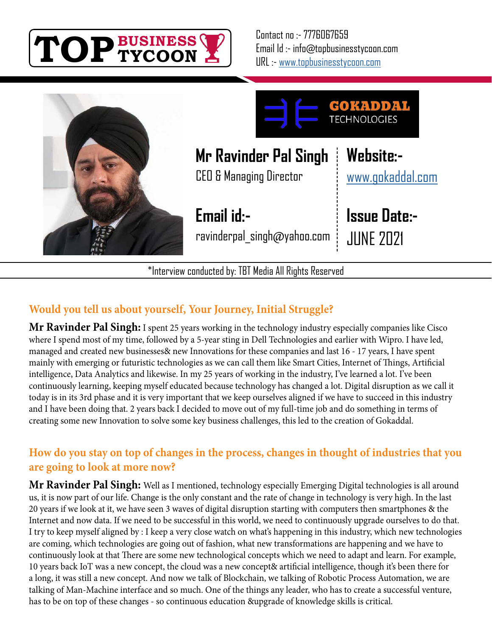



\*Interview conducted by: TBT Media All Rights Reserved

## **Would you tell us about yourself, Your Journey, Initial Struggle?**

**Mr Ravinder Pal Singh:** I spent 25 years working in the technology industry especially companies like Cisco where I spend most of my time, followed by a 5-year sting in Dell Technologies and earlier with Wipro. I have led, managed and created new businesses& new Innovations for these companies and last 16 - 17 years, I have spent mainly with emerging or futuristic technologies as we can call them like Smart Cities, Internet of Things, Artificial intelligence, Data Analytics and likewise. In my 25 years of working in the industry, I've learned a lot. I've been continuously learning, keeping myself educated because technology has changed a lot. Digital disruption as we call it today is in its 3rd phase and it is very important that we keep ourselves aligned if we have to succeed in this industry and I have been doing that. 2 years back I decided to move out of my full-time job and do something in terms of creating some new Innovation to solve some key business challenges, this led to the creation of Gokaddal.

## **How do you stay on top of changes in the process, changes in thought of industries that you are going to look at more now?**

**Mr Ravinder Pal Singh:** Well as I mentioned, technology especially Emerging Digital technologies is all around us, it is now part of our life. Change is the only constant and the rate of change in technology is very high. In the last 20 years if we look at it, we have seen 3 waves of digital disruption starting with computers then smartphones & the Internet and now data. If we need to be successful in this world, we need to continuously upgrade ourselves to do that. I try to keep myself aligned by : I keep a very close watch on what's happening in this industry, which new technologies are coming, which technologies are going out of fashion, what new transformations are happening and we have to continuously look at that There are some new technological concepts which we need to adapt and learn. For example, 10 years back IoT was a new concept, the cloud was a new concept& artificial intelligence, though it's been there for a long, it was still a new concept. And now we talk of Blockchain, we talking of Robotic Process Automation, we are talking of Man-Machine interface and so much. One of the things any leader, who has to create a successful venture, has to be on top of these changes - so continuous education &upgrade of knowledge skills is critical.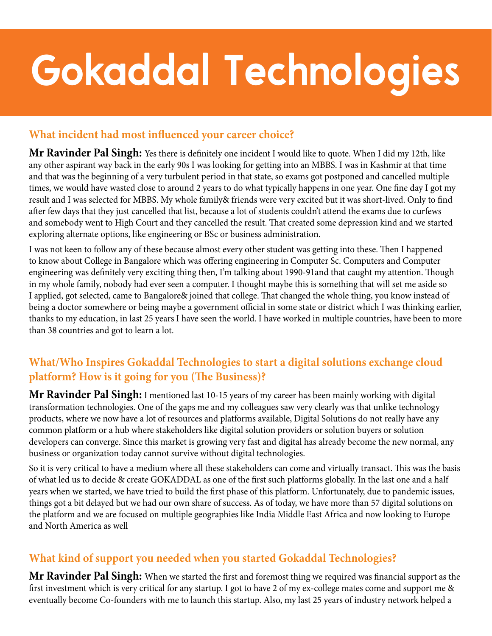# **Gokaddal Technologies**

#### **What incident had most influenced your career choice?**

**Mr Ravinder Pal Singh:** Yes there is definitely one incident I would like to quote. When I did my 12th, like any other aspirant way back in the early 90s I was looking for getting into an MBBS. I was in Kashmir at that time and that was the beginning of a very turbulent period in that state, so exams got postponed and cancelled multiple times, we would have wasted close to around 2 years to do what typically happens in one year. One fine day I got my result and I was selected for MBBS. My whole family& friends were very excited but it was short-lived. Only to find after few days that they just cancelled that list, because a lot of students couldn't attend the exams due to curfews and somebody went to High Court and they cancelled the result. That created some depression kind and we started exploring alternate options, like engineering or BSc or business administration.

I was not keen to follow any of these because almost every other student was getting into these. Then I happened to know about College in Bangalore which was offering engineering in Computer Sc. Computers and Computer engineering was definitely very exciting thing then, I'm talking about 1990-91and that caught my attention. Though in my whole family, nobody had ever seen a computer. I thought maybe this is something that will set me aside so I applied, got selected, came to Bangalore& joined that college. That changed the whole thing, you know instead of being a doctor somewhere or being maybe a government official in some state or district which I was thinking earlier, thanks to my education, in last 25 years I have seen the world. I have worked in multiple countries, have been to more than 38 countries and got to learn a lot.

## **What/Who Inspires Gokaddal Technologies to start a digital solutions exchange cloud platform? How is it going for you (The Business)?**

**Mr Ravinder Pal Singh:** I mentioned last 10-15 years of my career has been mainly working with digital transformation technologies. One of the gaps me and my colleagues saw very clearly was that unlike technology products, where we now have a lot of resources and platforms available, Digital Solutions do not really have any common platform or a hub where stakeholders like digital solution providers or solution buyers or solution developers can converge. Since this market is growing very fast and digital has already become the new normal, any business or organization today cannot survive without digital technologies.

So it is very critical to have a medium where all these stakeholders can come and virtually transact. This was the basis of what led us to decide & create GOKADDAL as one of the first such platforms globally. In the last one and a half years when we started, we have tried to build the first phase of this platform. Unfortunately, due to pandemic issues, things got a bit delayed but we had our own share of success. As of today, we have more than 57 digital solutions on the platform and we are focused on multiple geographies like India Middle East Africa and now looking to Europe and North America as well

### **What kind of support you needed when you started Gokaddal Technologies?**

**Mr Ravinder Pal Singh:** When we started the first and foremost thing we required was financial support as the first investment which is very critical for any startup. I got to have 2 of my ex-college mates come and support me & eventually become Co-founders with me to launch this startup. Also, my last 25 years of industry network helped a